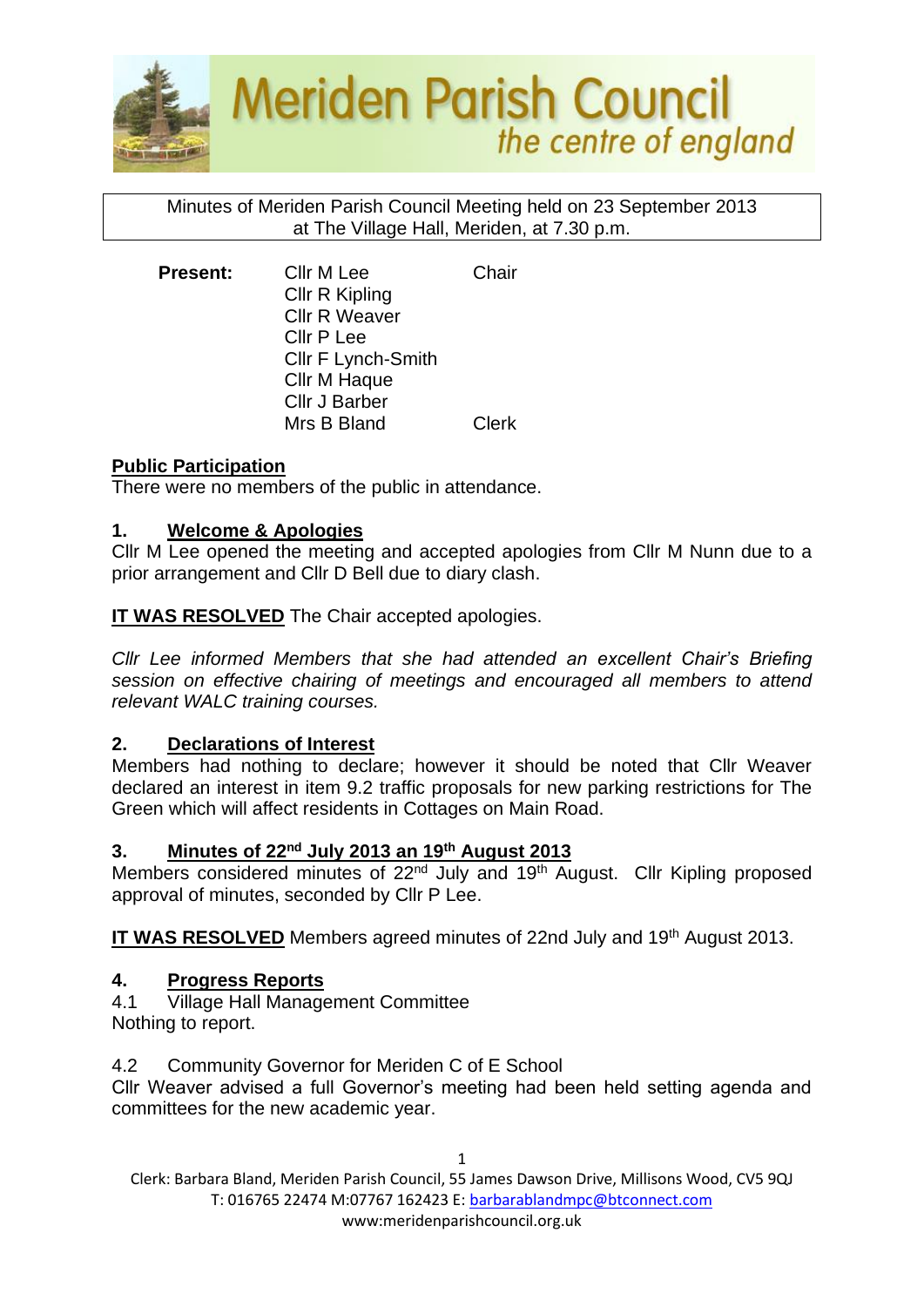

## Minutes of Meriden Parish Council Meeting held on 23 September 2013 at The Village Hall, Meriden, at 7.30 p.m.

| <b>Present:</b> | <b>CIIr M Lee</b>    | Chair |
|-----------------|----------------------|-------|
|                 | Cllr R Kipling       |       |
|                 | <b>Cllr R Weaver</b> |       |
|                 | Cllr P Lee           |       |
|                 | Cllr F Lynch-Smith   |       |
|                 | Cllr M Haque         |       |
|                 | Cllr J Barber        |       |
|                 | Mrs B Bland          | Clerk |

## **Public Participation**

There were no members of the public in attendance.

## **1. Welcome & Apologies**

Cllr M Lee opened the meeting and accepted apologies from Cllr M Nunn due to a prior arrangement and Cllr D Bell due to diary clash.

**IT WAS RESOLVED** The Chair accepted apologies.

*Cllr Lee informed Members that she had attended an excellent Chair's Briefing session on effective chairing of meetings and encouraged all members to attend relevant WALC training courses.*

# **2. Declarations of Interest**

Members had nothing to declare; however it should be noted that Cllr Weaver declared an interest in item 9.2 traffic proposals for new parking restrictions for The Green which will affect residents in Cottages on Main Road.

#### **3. Minutes of 22nd July 2013 an 19th August 2013**

Members considered minutes of 22<sup>nd</sup> July and 19<sup>th</sup> August. Cllr Kipling proposed approval of minutes, seconded by Cllr P Lee.

**IT WAS RESOLVED** Members agreed minutes of 22nd July and 19<sup>th</sup> August 2013.

# **4. Progress Reports**

4.1 Village Hall Management Committee Nothing to report.

4.2 Community Governor for Meriden C of E School

Cllr Weaver advised a full Governor's meeting had been held setting agenda and committees for the new academic year.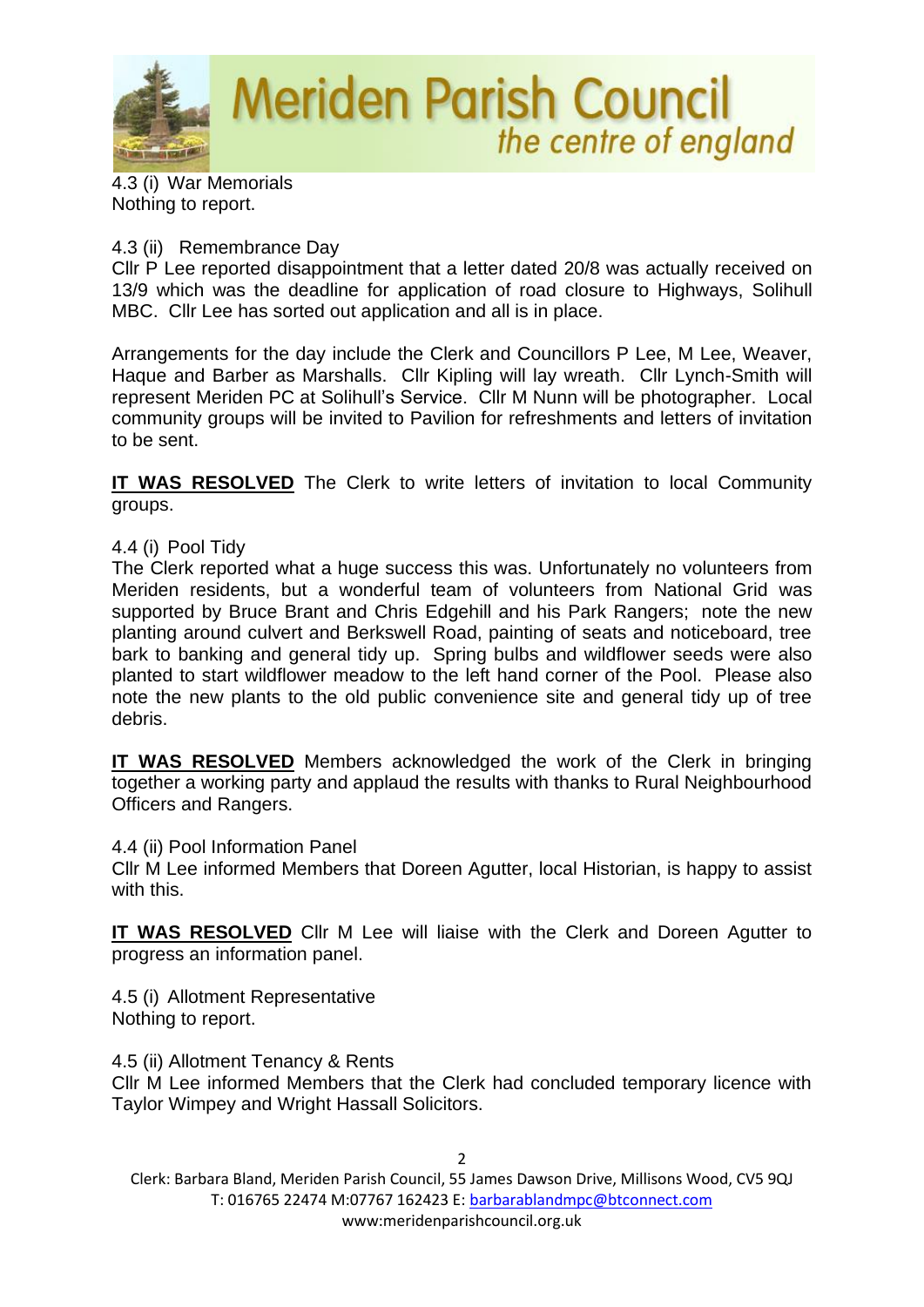

4.3 (i) War Memorials Nothing to report.

#### 4.3 (ii) Remembrance Day

Cllr P Lee reported disappointment that a letter dated 20/8 was actually received on 13/9 which was the deadline for application of road closure to Highways, Solihull MBC. Cllr Lee has sorted out application and all is in place.

Arrangements for the day include the Clerk and Councillors P Lee, M Lee, Weaver, Haque and Barber as Marshalls. Cllr Kipling will lay wreath. Cllr Lynch-Smith will represent Meriden PC at Solihull's Service. Cllr M Nunn will be photographer. Local community groups will be invited to Pavilion for refreshments and letters of invitation to be sent.

**IT WAS RESOLVED** The Clerk to write letters of invitation to local Community groups.

## 4.4 (i) Pool Tidy

The Clerk reported what a huge success this was. Unfortunately no volunteers from Meriden residents, but a wonderful team of volunteers from National Grid was supported by Bruce Brant and Chris Edgehill and his Park Rangers; note the new planting around culvert and Berkswell Road, painting of seats and noticeboard, tree bark to banking and general tidy up. Spring bulbs and wildflower seeds were also planted to start wildflower meadow to the left hand corner of the Pool. Please also note the new plants to the old public convenience site and general tidy up of tree debris.

**IT WAS RESOLVED** Members acknowledged the work of the Clerk in bringing together a working party and applaud the results with thanks to Rural Neighbourhood Officers and Rangers.

4.4 (ii) Pool Information Panel

Cllr M Lee informed Members that Doreen Agutter, local Historian, is happy to assist with this.

**IT WAS RESOLVED** Cllr M Lee will liaise with the Clerk and Doreen Agutter to progress an information panel.

4.5 (i) Allotment Representative Nothing to report.

4.5 (ii) Allotment Tenancy & Rents

Cllr M Lee informed Members that the Clerk had concluded temporary licence with Taylor Wimpey and Wright Hassall Solicitors.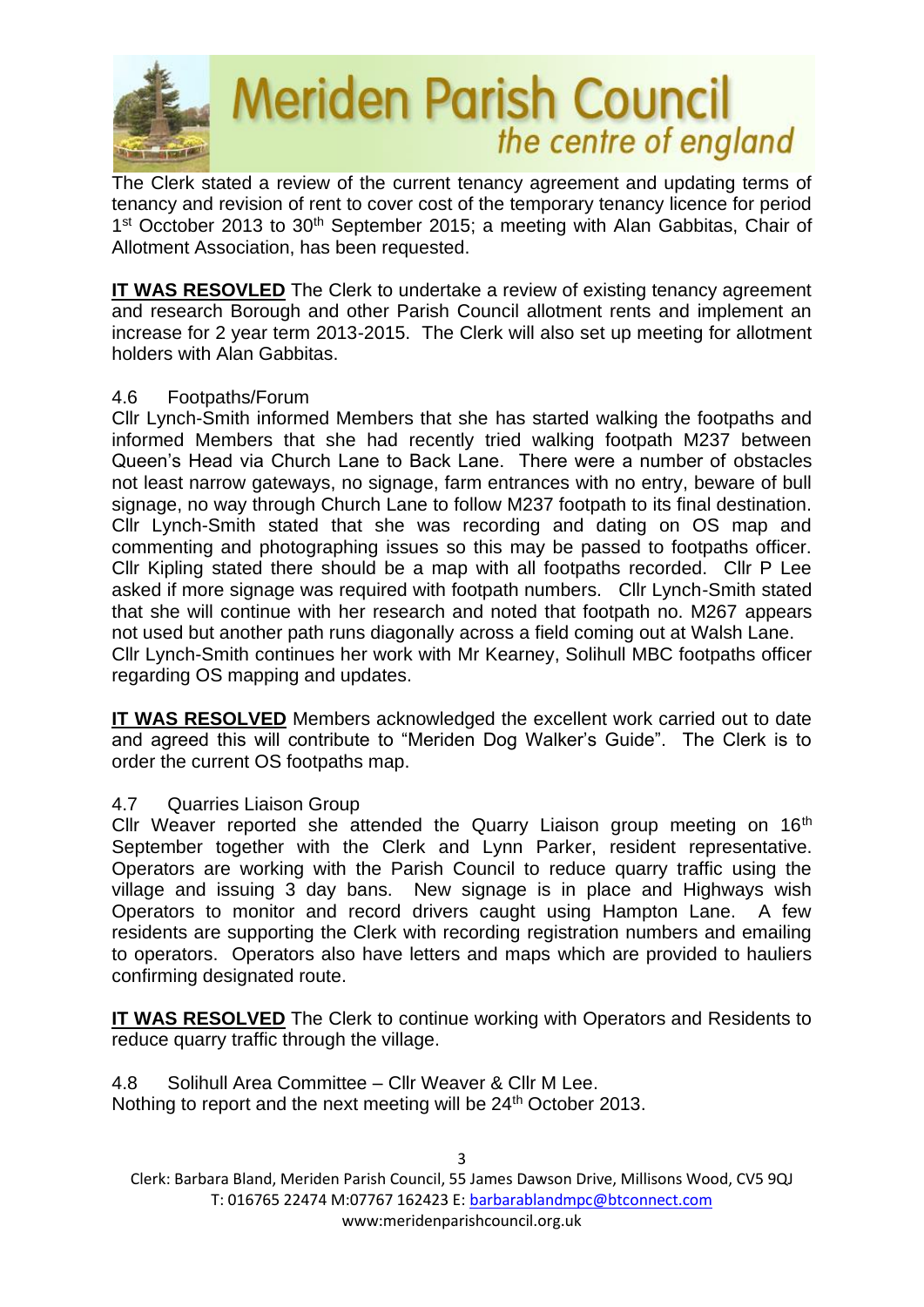

The Clerk stated a review of the current tenancy agreement and updating terms of tenancy and revision of rent to cover cost of the temporary tenancy licence for period 1<sup>st</sup> Occtober 2013 to 30<sup>th</sup> September 2015; a meeting with Alan Gabbitas, Chair of Allotment Association, has been requested.

**IT WAS RESOVLED** The Clerk to undertake a review of existing tenancy agreement and research Borough and other Parish Council allotment rents and implement an increase for 2 year term 2013-2015. The Clerk will also set up meeting for allotment holders with Alan Gabbitas.

#### 4.6 Footpaths/Forum

Cllr Lynch-Smith informed Members that she has started walking the footpaths and informed Members that she had recently tried walking footpath M237 between Queen's Head via Church Lane to Back Lane. There were a number of obstacles not least narrow gateways, no signage, farm entrances with no entry, beware of bull signage, no way through Church Lane to follow M237 footpath to its final destination. Cllr Lynch-Smith stated that she was recording and dating on OS map and commenting and photographing issues so this may be passed to footpaths officer. Cllr Kipling stated there should be a map with all footpaths recorded. Cllr P Lee asked if more signage was required with footpath numbers. Cllr Lynch-Smith stated that she will continue with her research and noted that footpath no. M267 appears not used but another path runs diagonally across a field coming out at Walsh Lane. Cllr Lynch-Smith continues her work with Mr Kearney, Solihull MBC footpaths officer regarding OS mapping and updates.

**IT WAS RESOLVED** Members acknowledged the excellent work carried out to date and agreed this will contribute to "Meriden Dog Walker's Guide". The Clerk is to order the current OS footpaths map.

# 4.7 Quarries Liaison Group

Cllr Weaver reported she attended the Quarry Liaison group meeting on 16<sup>th</sup> September together with the Clerk and Lynn Parker, resident representative. Operators are working with the Parish Council to reduce quarry traffic using the village and issuing 3 day bans. New signage is in place and Highways wish Operators to monitor and record drivers caught using Hampton Lane. A few residents are supporting the Clerk with recording registration numbers and emailing to operators. Operators also have letters and maps which are provided to hauliers confirming designated route.

**IT WAS RESOLVED** The Clerk to continue working with Operators and Residents to reduce quarry traffic through the village.

4.8 Solihull Area Committee – Cllr Weaver & Cllr M Lee. Nothing to report and the next meeting will be 24<sup>th</sup> October 2013.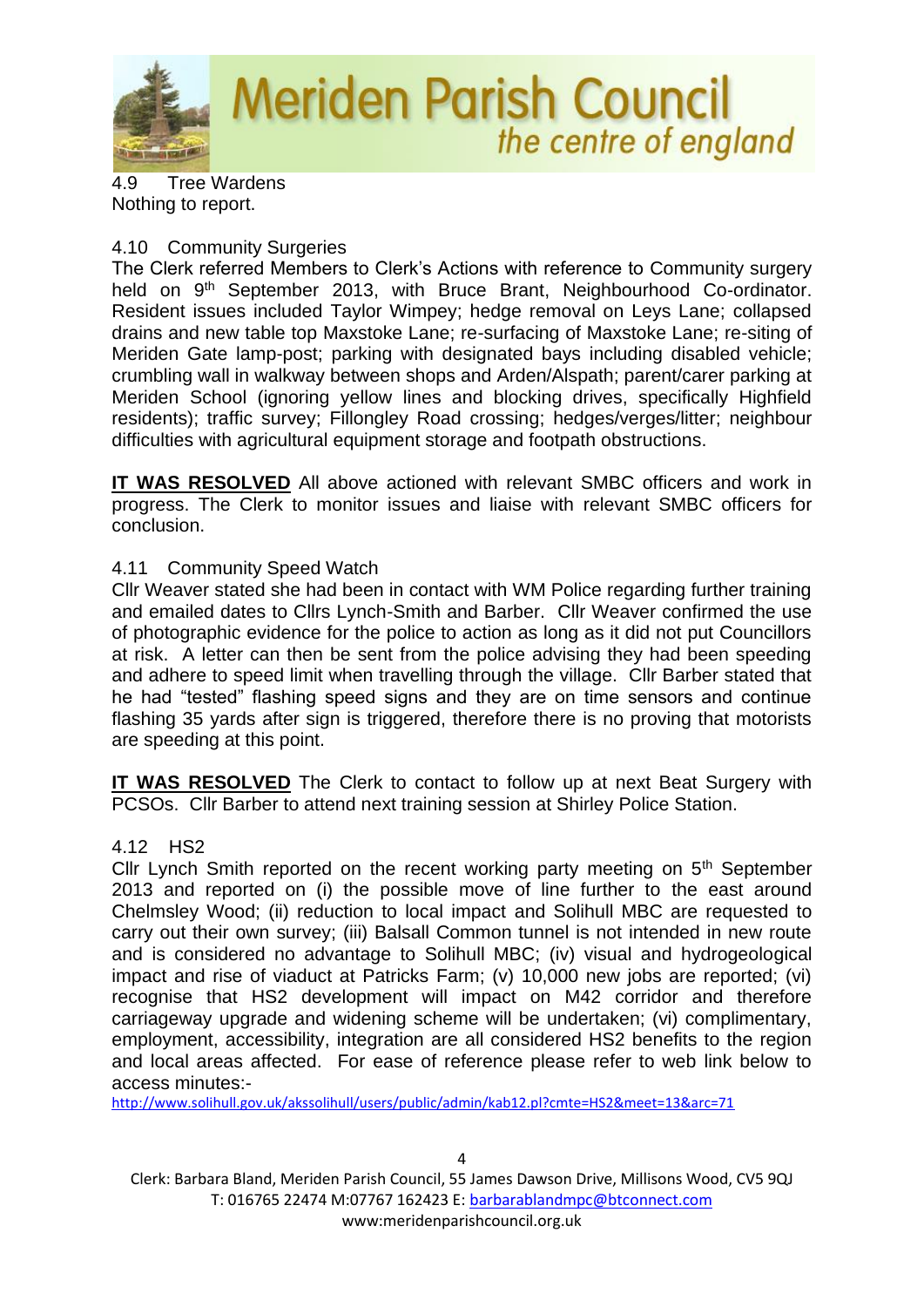

4.9 Tree Wardens Nothing to report.

### 4.10 Community Surgeries

The Clerk referred Members to Clerk's Actions with reference to Community surgery held on 9<sup>th</sup> September 2013, with Bruce Brant, Neighbourhood Co-ordinator. Resident issues included Taylor Wimpey; hedge removal on Leys Lane; collapsed drains and new table top Maxstoke Lane; re-surfacing of Maxstoke Lane; re-siting of Meriden Gate lamp-post; parking with designated bays including disabled vehicle; crumbling wall in walkway between shops and Arden/Alspath; parent/carer parking at Meriden School (ignoring yellow lines and blocking drives, specifically Highfield residents); traffic survey; Fillongley Road crossing; hedges/verges/litter; neighbour difficulties with agricultural equipment storage and footpath obstructions.

**IT WAS RESOLVED** All above actioned with relevant SMBC officers and work in progress. The Clerk to monitor issues and liaise with relevant SMBC officers for conclusion.

# 4.11 Community Speed Watch

Cllr Weaver stated she had been in contact with WM Police regarding further training and emailed dates to Cllrs Lynch-Smith and Barber. Cllr Weaver confirmed the use of photographic evidence for the police to action as long as it did not put Councillors at risk. A letter can then be sent from the police advising they had been speeding and adhere to speed limit when travelling through the village. Cllr Barber stated that he had "tested" flashing speed signs and they are on time sensors and continue flashing 35 yards after sign is triggered, therefore there is no proving that motorists are speeding at this point.

**IT WAS RESOLVED** The Clerk to contact to follow up at next Beat Surgery with PCSOs. Cllr Barber to attend next training session at Shirley Police Station.

# 4.12 HS2

Cllr Lynch Smith reported on the recent working party meeting on 5<sup>th</sup> September 2013 and reported on (i) the possible move of line further to the east around Chelmsley Wood; (ii) reduction to local impact and Solihull MBC are requested to carry out their own survey; (iii) Balsall Common tunnel is not intended in new route and is considered no advantage to Solihull MBC; (iv) visual and hydrogeological impact and rise of viaduct at Patricks Farm; (v) 10,000 new jobs are reported; (vi) recognise that HS2 development will impact on M42 corridor and therefore carriageway upgrade and widening scheme will be undertaken; (vi) complimentary, employment, accessibility, integration are all considered HS2 benefits to the region and local areas affected. For ease of reference please refer to web link below to access minutes:-

<http://www.solihull.gov.uk/akssolihull/users/public/admin/kab12.pl?cmte=HS2&meet=13&arc=71>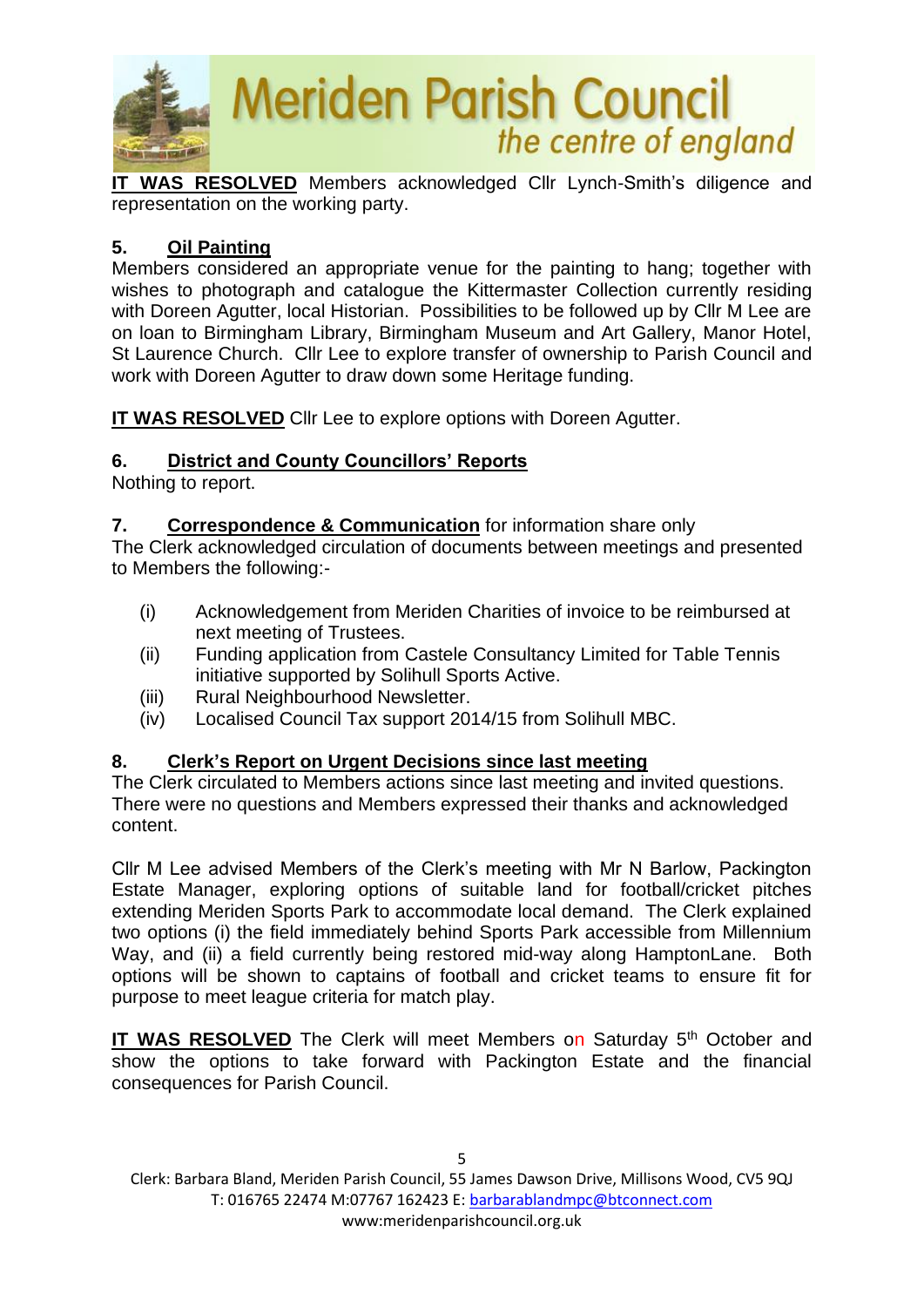

**IT WAS RESOLVED** Members acknowledged Cllr Lynch-Smith's diligence and representation on the working party.

# **5. Oil Painting**

Members considered an appropriate venue for the painting to hang; together with wishes to photograph and catalogue the Kittermaster Collection currently residing with Doreen Agutter, local Historian. Possibilities to be followed up by Cllr M Lee are on loan to Birmingham Library, Birmingham Museum and Art Gallery, Manor Hotel, St Laurence Church. Cllr Lee to explore transfer of ownership to Parish Council and work with Doreen Agutter to draw down some Heritage funding.

**IT WAS RESOLVED** Cllr Lee to explore options with Doreen Agutter.

# **6. District and County Councillors' Reports**

Nothing to report.

## **7. Correspondence & Communication** for information share only

The Clerk acknowledged circulation of documents between meetings and presented to Members the following:-

- (i) Acknowledgement from Meriden Charities of invoice to be reimbursed at next meeting of Trustees.
- (ii) Funding application from Castele Consultancy Limited for Table Tennis initiative supported by Solihull Sports Active.
- (iii) Rural Neighbourhood Newsletter.
- (iv) Localised Council Tax support 2014/15 from Solihull MBC.

# **8. Clerk's Report on Urgent Decisions since last meeting**

The Clerk circulated to Members actions since last meeting and invited questions. There were no questions and Members expressed their thanks and acknowledged content.

Cllr M Lee advised Members of the Clerk's meeting with Mr N Barlow, Packington Estate Manager, exploring options of suitable land for football/cricket pitches extending Meriden Sports Park to accommodate local demand. The Clerk explained two options (i) the field immediately behind Sports Park accessible from Millennium Way, and (ii) a field currently being restored mid-way along HamptonLane. Both options will be shown to captains of football and cricket teams to ensure fit for purpose to meet league criteria for match play.

**IT WAS RESOLVED** The Clerk will meet Members on Saturday 5<sup>th</sup> October and show the options to take forward with Packington Estate and the financial consequences for Parish Council.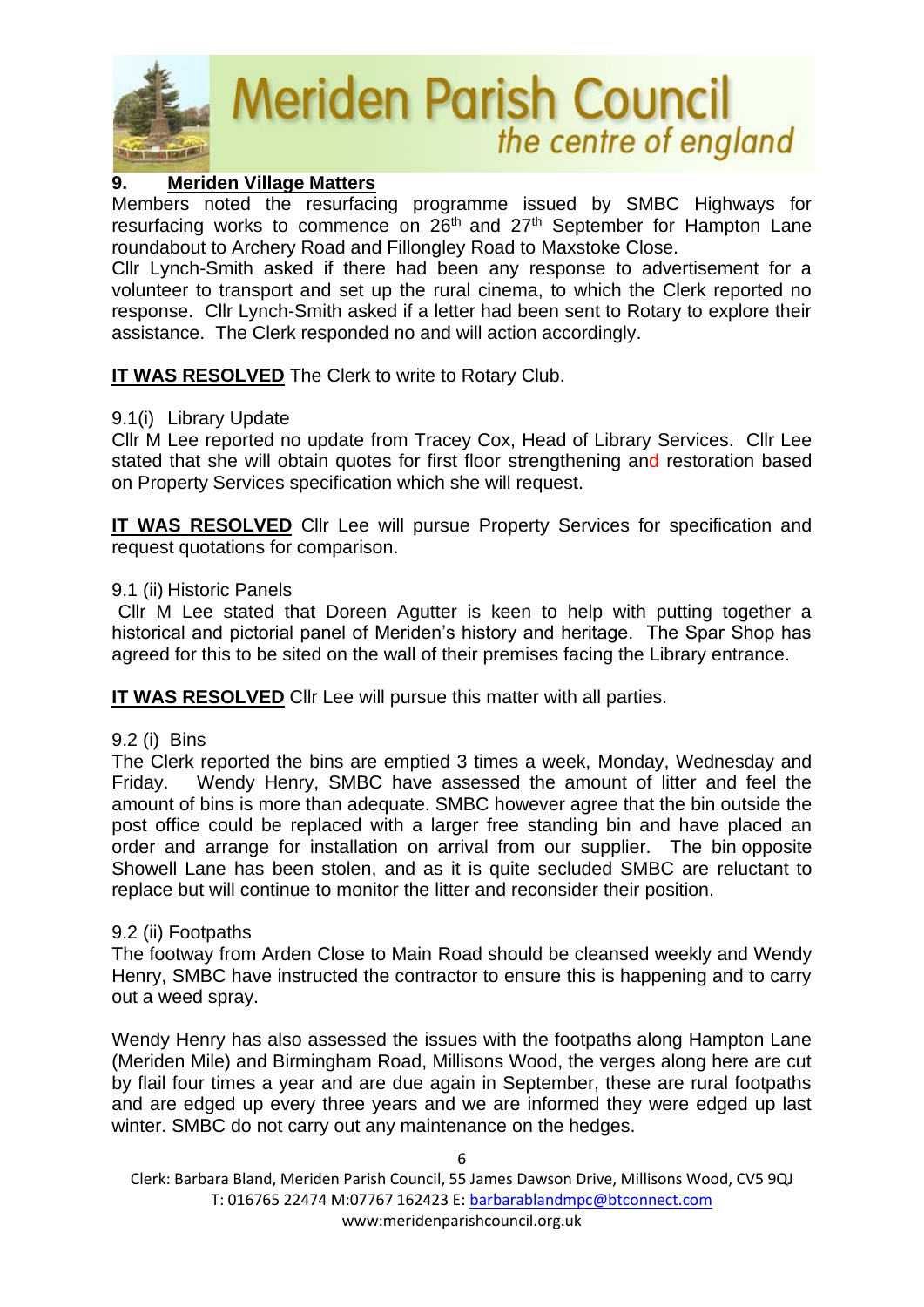

# **9. Meriden Village Matters**

Members noted the resurfacing programme issued by SMBC Highways for resurfacing works to commence on  $26<sup>th</sup>$  and  $27<sup>th</sup>$  September for Hampton Lane roundabout to Archery Road and Fillongley Road to Maxstoke Close.

Cllr Lynch-Smith asked if there had been any response to advertisement for a volunteer to transport and set up the rural cinema, to which the Clerk reported no response. Cllr Lynch-Smith asked if a letter had been sent to Rotary to explore their assistance. The Clerk responded no and will action accordingly.

**IT WAS RESOLVED** The Clerk to write to Rotary Club.

## 9.1(i) Library Update

Cllr M Lee reported no update from Tracey Cox, Head of Library Services. Cllr Lee stated that she will obtain quotes for first floor strengthening and restoration based on Property Services specification which she will request.

**IT WAS RESOLVED** Cllr Lee will pursue Property Services for specification and request quotations for comparison.

## 9.1 (ii) Historic Panels

 Cllr M Lee stated that Doreen Agutter is keen to help with putting together a historical and pictorial panel of Meriden's history and heritage. The Spar Shop has agreed for this to be sited on the wall of their premises facing the Library entrance.

**IT WAS RESOLVED** Cllr Lee will pursue this matter with all parties.

# 9.2 (i) Bins

The Clerk reported the bins are emptied 3 times a week, Monday, Wednesday and Friday. Wendy Henry, SMBC have assessed the amount of litter and feel the amount of bins is more than adequate. SMBC however agree that the bin outside the post office could be replaced with a larger free standing bin and have placed an order and arrange for installation on arrival from our supplier. The bin opposite Showell Lane has been stolen, and as it is quite secluded SMBC are reluctant to replace but will continue to monitor the litter and reconsider their position.

#### 9.2 (ii) Footpaths

The footway from Arden Close to Main Road should be cleansed weekly and Wendy Henry, SMBC have instructed the contractor to ensure this is happening and to carry out a weed spray.

Wendy Henry has also assessed the issues with the footpaths along Hampton Lane (Meriden Mile) and Birmingham Road, Millisons Wood, the verges along here are cut by flail four times a year and are due again in September, these are rural footpaths and are edged up every three years and we are informed they were edged up last winter. SMBC do not carry out any maintenance on the hedges.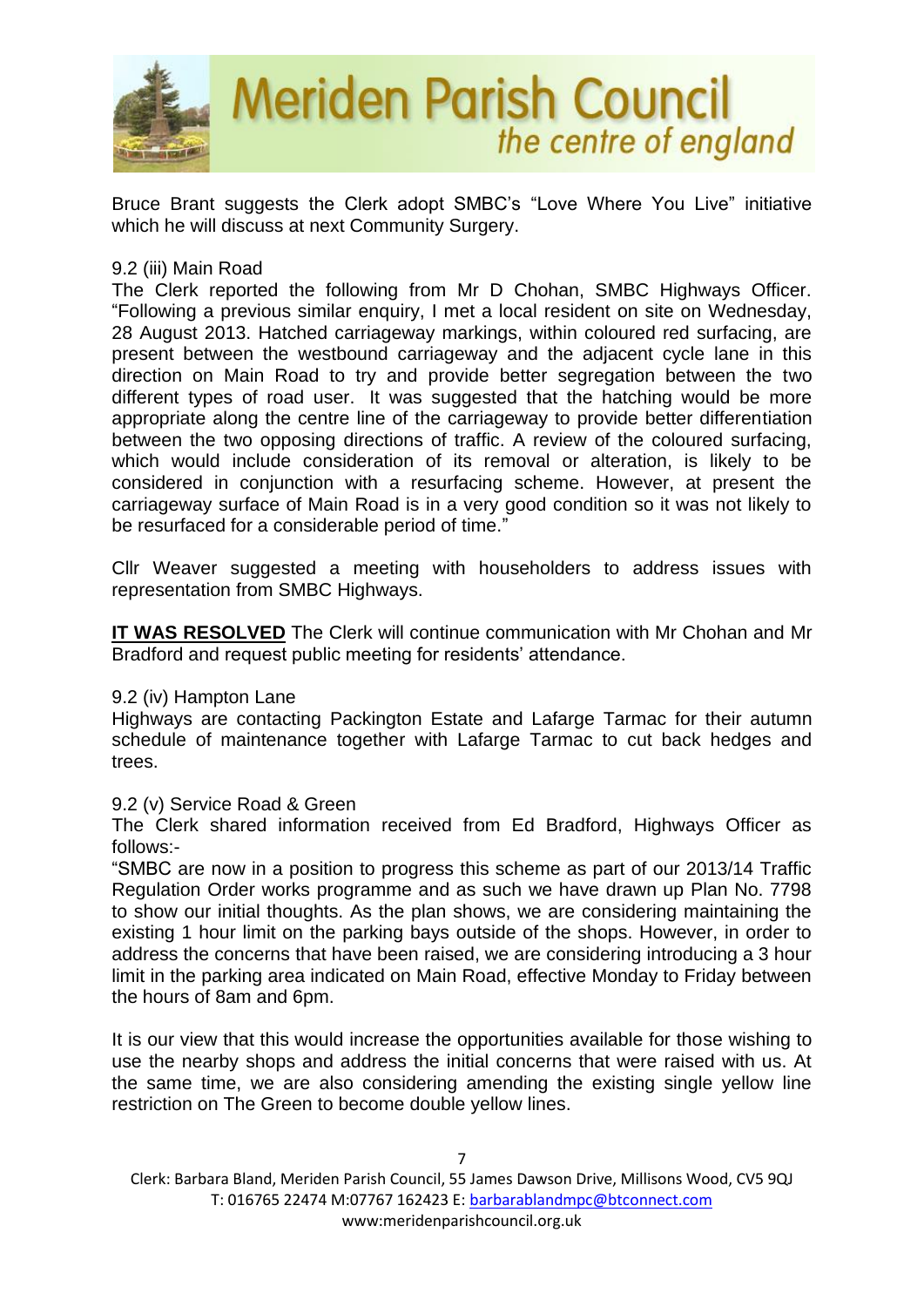

Bruce Brant suggests the Clerk adopt SMBC's "Love Where You Live" initiative which he will discuss at next Community Surgery.

#### 9.2 (iii) Main Road

The Clerk reported the following from Mr D Chohan, SMBC Highways Officer. "Following a previous similar enquiry, I met a local resident on site on Wednesday, 28 August 2013. Hatched carriageway markings, within coloured red surfacing, are present between the westbound carriageway and the adjacent cycle lane in this direction on Main Road to try and provide better segregation between the two different types of road user. It was suggested that the hatching would be more appropriate along the centre line of the carriageway to provide better differentiation between the two opposing directions of traffic. A review of the coloured surfacing, which would include consideration of its removal or alteration, is likely to be considered in conjunction with a resurfacing scheme. However, at present the carriageway surface of Main Road is in a very good condition so it was not likely to be resurfaced for a considerable period of time."

Cllr Weaver suggested a meeting with householders to address issues with representation from SMBC Highways.

**IT WAS RESOLVED** The Clerk will continue communication with Mr Chohan and Mr Bradford and request public meeting for residents' attendance.

#### 9.2 (iv) Hampton Lane

Highways are contacting Packington Estate and Lafarge Tarmac for their autumn schedule of maintenance together with Lafarge Tarmac to cut back hedges and trees.

#### 9.2 (v) Service Road & Green

The Clerk shared information received from Ed Bradford, Highways Officer as follows:-

"SMBC are now in a position to progress this scheme as part of our 2013/14 Traffic Regulation Order works programme and as such we have drawn up Plan No. 7798 to show our initial thoughts. As the plan shows, we are considering maintaining the existing 1 hour limit on the parking bays outside of the shops. However, in order to address the concerns that have been raised, we are considering introducing a 3 hour limit in the parking area indicated on Main Road, effective Monday to Friday between the hours of 8am and 6pm.

It is our view that this would increase the opportunities available for those wishing to use the nearby shops and address the initial concerns that were raised with us. At the same time, we are also considering amending the existing single yellow line restriction on The Green to become double yellow lines.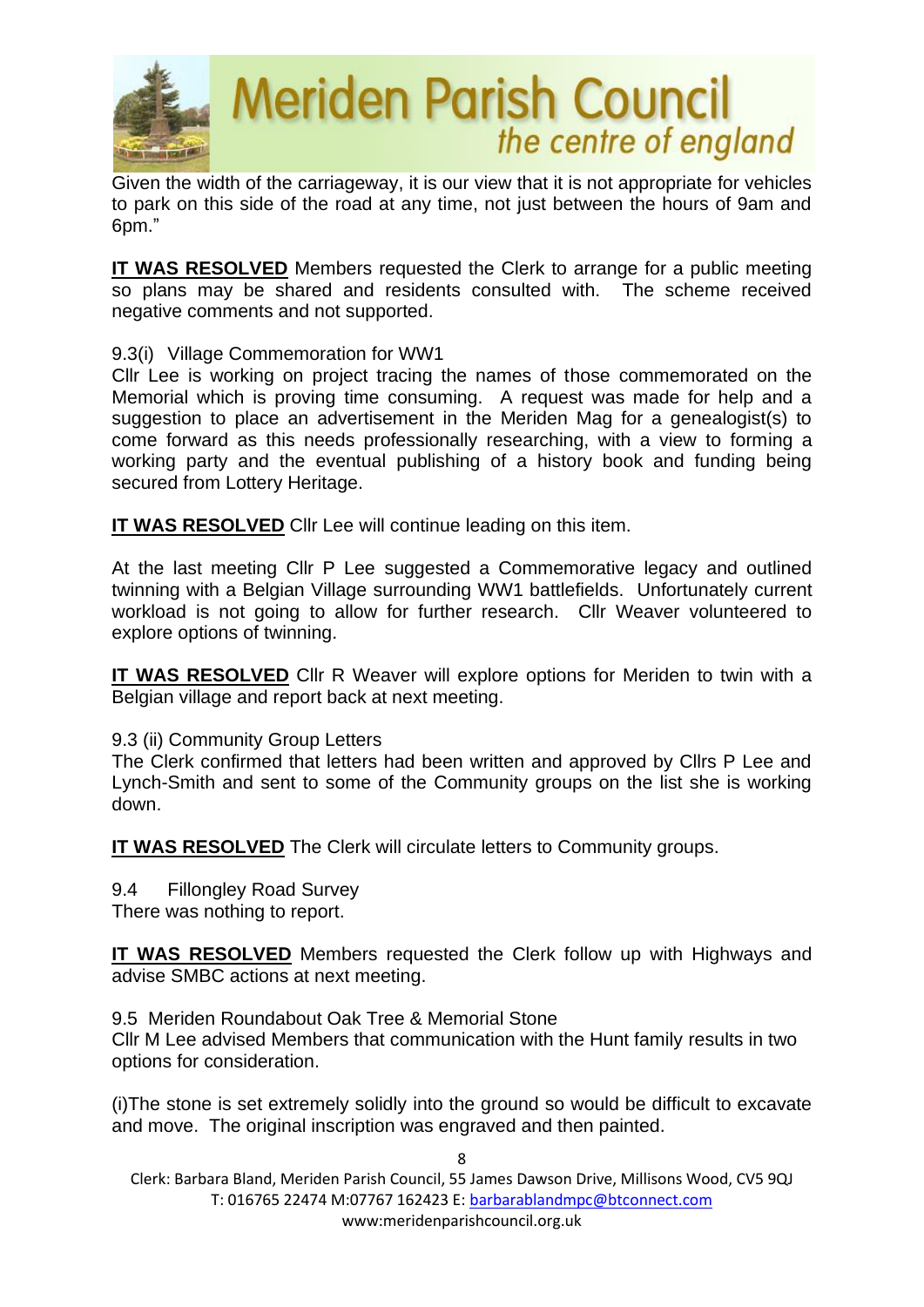

Given the width of the carriageway, it is our view that it is not appropriate for vehicles to park on this side of the road at any time, not just between the hours of 9am and 6pm."

**IT WAS RESOLVED** Members requested the Clerk to arrange for a public meeting so plans may be shared and residents consulted with. The scheme received negative comments and not supported.

9.3(i) Village Commemoration for WW1

Cllr Lee is working on project tracing the names of those commemorated on the Memorial which is proving time consuming. A request was made for help and a suggestion to place an advertisement in the Meriden Mag for a genealogist(s) to come forward as this needs professionally researching, with a view to forming a working party and the eventual publishing of a history book and funding being secured from Lottery Heritage.

**IT WAS RESOLVED** Cllr Lee will continue leading on this item.

At the last meeting Cllr P Lee suggested a Commemorative legacy and outlined twinning with a Belgian Village surrounding WW1 battlefields. Unfortunately current workload is not going to allow for further research. Cllr Weaver volunteered to explore options of twinning.

**IT WAS RESOLVED** Cllr R Weaver will explore options for Meriden to twin with a Belgian village and report back at next meeting.

9.3 (ii) Community Group Letters

The Clerk confirmed that letters had been written and approved by Cllrs P Lee and Lynch-Smith and sent to some of the Community groups on the list she is working down.

**IT WAS RESOLVED** The Clerk will circulate letters to Community groups.

9.4 Fillongley Road Survey

There was nothing to report.

**IT WAS RESOLVED** Members requested the Clerk follow up with Highways and advise SMBC actions at next meeting.

9.5 Meriden Roundabout Oak Tree & Memorial Stone

Cllr M Lee advised Members that communication with the Hunt family results in two options for consideration.

(i)The stone is set extremely solidly into the ground so would be difficult to excavate and move. The original inscription was engraved and then painted.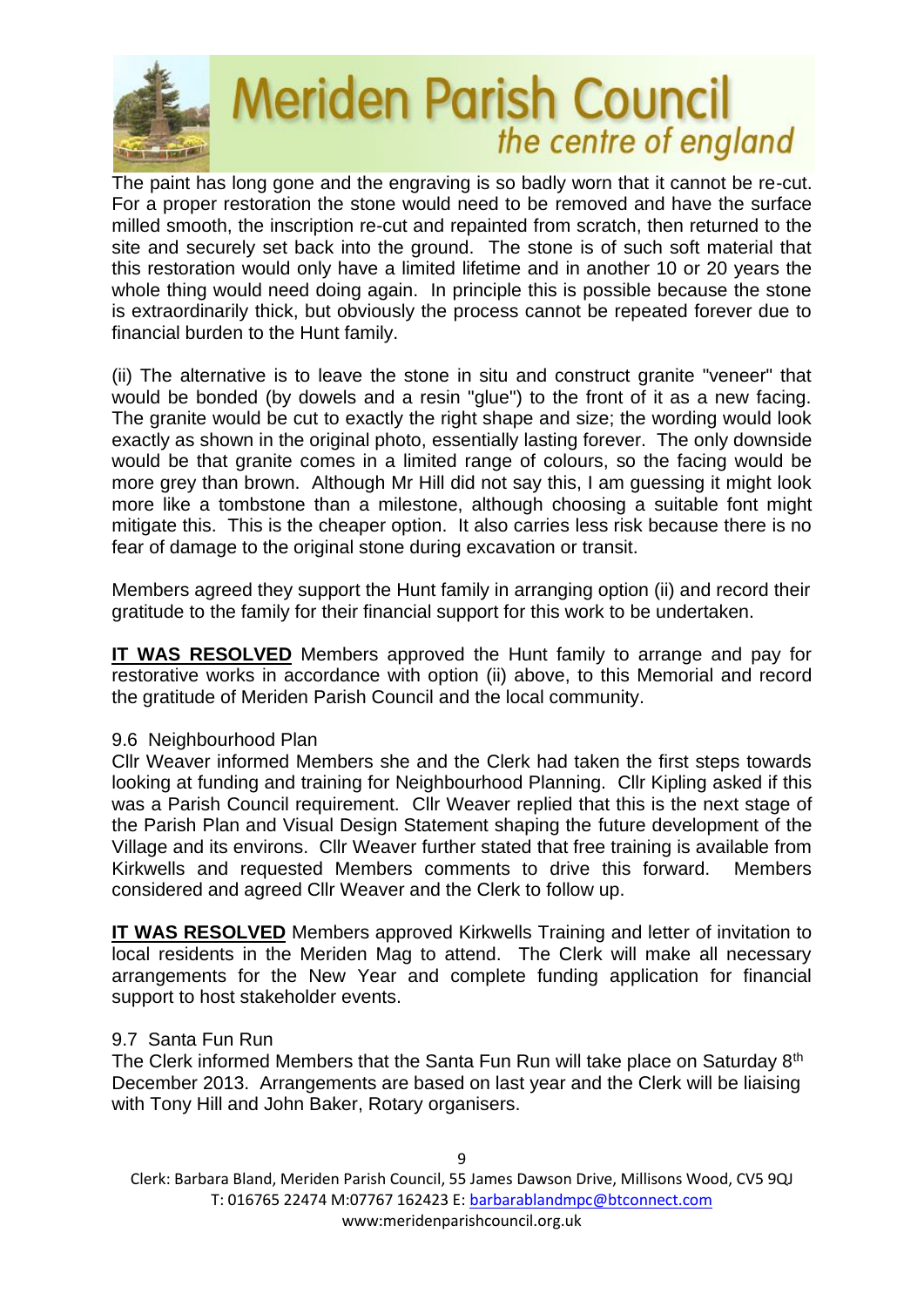

The paint has long gone and the engraving is so badly worn that it cannot be re-cut. For a proper restoration the stone would need to be removed and have the surface milled smooth, the inscription re-cut and repainted from scratch, then returned to the site and securely set back into the ground. The stone is of such soft material that this restoration would only have a limited lifetime and in another 10 or 20 years the whole thing would need doing again. In principle this is possible because the stone is extraordinarily thick, but obviously the process cannot be repeated forever due to financial burden to the Hunt family.

(ii) The alternative is to leave the stone in situ and construct granite "veneer" that would be bonded (by dowels and a resin "glue") to the front of it as a new facing. The granite would be cut to exactly the right shape and size; the wording would look exactly as shown in the original photo, essentially lasting forever. The only downside would be that granite comes in a limited range of colours, so the facing would be more grey than brown. Although Mr Hill did not say this, I am guessing it might look more like a tombstone than a milestone, although choosing a suitable font might mitigate this. This is the cheaper option. It also carries less risk because there is no fear of damage to the original stone during excavation or transit.

Members agreed they support the Hunt family in arranging option (ii) and record their gratitude to the family for their financial support for this work to be undertaken.

**IT WAS RESOLVED** Members approved the Hunt family to arrange and pay for restorative works in accordance with option (ii) above, to this Memorial and record the gratitude of Meriden Parish Council and the local community.

#### 9.6 Neighbourhood Plan

Cllr Weaver informed Members she and the Clerk had taken the first steps towards looking at funding and training for Neighbourhood Planning. Cllr Kipling asked if this was a Parish Council requirement. Cllr Weaver replied that this is the next stage of the Parish Plan and Visual Design Statement shaping the future development of the Village and its environs. Cllr Weaver further stated that free training is available from Kirkwells and requested Members comments to drive this forward. Members considered and agreed Cllr Weaver and the Clerk to follow up.

**IT WAS RESOLVED** Members approved Kirkwells Training and letter of invitation to local residents in the Meriden Mag to attend. The Clerk will make all necessary arrangements for the New Year and complete funding application for financial support to host stakeholder events.

#### 9.7 Santa Fun Run

The Clerk informed Members that the Santa Fun Run will take place on Saturday 8<sup>th</sup> December 2013. Arrangements are based on last year and the Clerk will be liaising with Tony Hill and John Baker, Rotary organisers.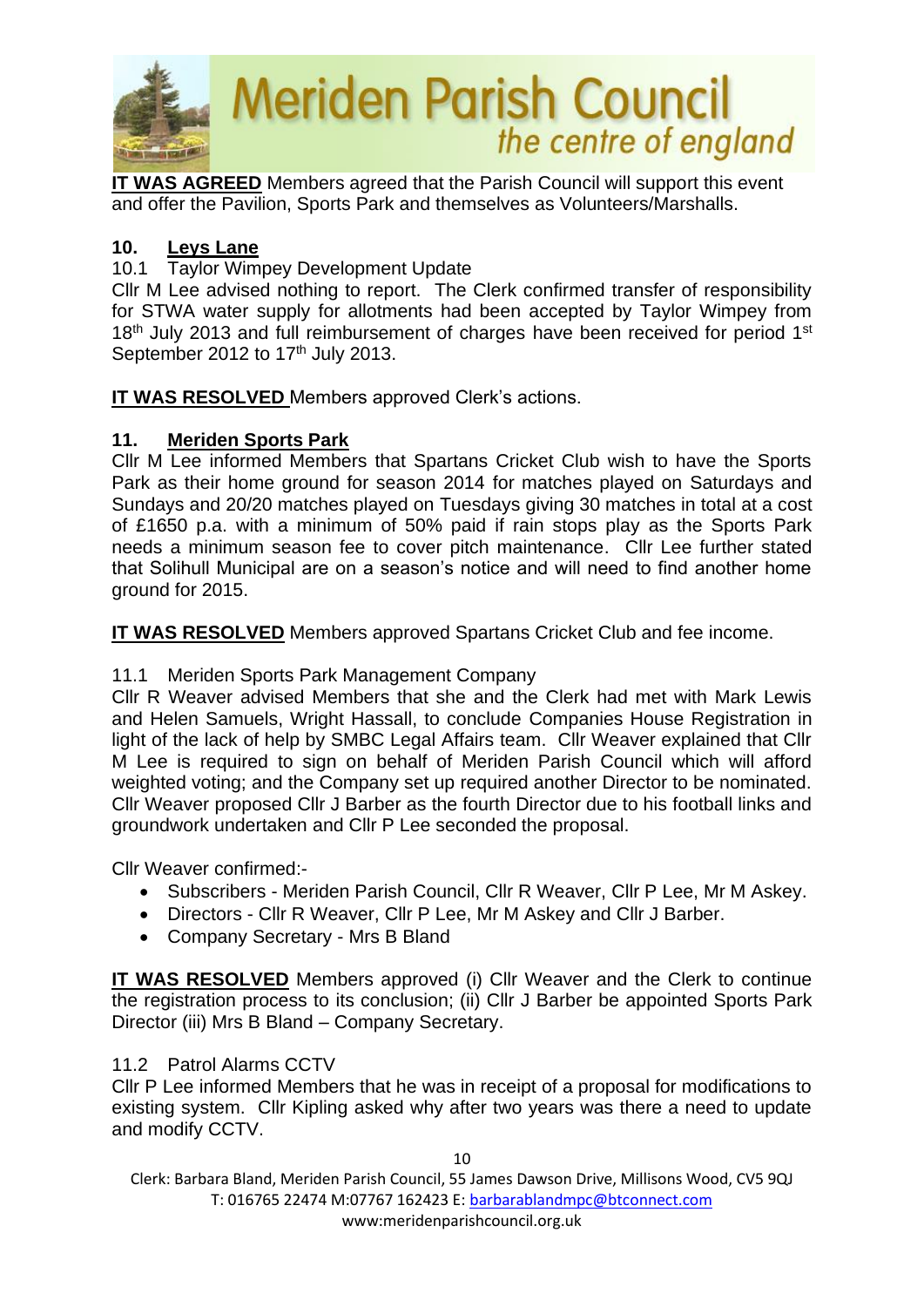

**IT WAS AGREED** Members agreed that the Parish Council will support this event and offer the Pavilion, Sports Park and themselves as Volunteers/Marshalls.

## **10. Leys Lane**

10.1 Taylor Wimpey Development Update

Cllr M Lee advised nothing to report. The Clerk confirmed transfer of responsibility for STWA water supply for allotments had been accepted by Taylor Wimpey from 18<sup>th</sup> July 2013 and full reimbursement of charges have been received for period 1<sup>st</sup> September 2012 to  $17<sup>th</sup>$  July 2013.

**IT WAS RESOLVED** Members approved Clerk's actions.

# **11. Meriden Sports Park**

Cllr M Lee informed Members that Spartans Cricket Club wish to have the Sports Park as their home ground for season 2014 for matches played on Saturdays and Sundays and 20/20 matches played on Tuesdays giving 30 matches in total at a cost of £1650 p.a. with a minimum of 50% paid if rain stops play as the Sports Park needs a minimum season fee to cover pitch maintenance. Cllr Lee further stated that Solihull Municipal are on a season's notice and will need to find another home ground for 2015.

**IT WAS RESOLVED** Members approved Spartans Cricket Club and fee income.

# 11.1 Meriden Sports Park Management Company

Cllr R Weaver advised Members that she and the Clerk had met with Mark Lewis and Helen Samuels, Wright Hassall, to conclude Companies House Registration in light of the lack of help by SMBC Legal Affairs team. Cllr Weaver explained that Cllr M Lee is required to sign on behalf of Meriden Parish Council which will afford weighted voting; and the Company set up required another Director to be nominated. Cllr Weaver proposed Cllr J Barber as the fourth Director due to his football links and groundwork undertaken and Cllr P Lee seconded the proposal.

Cllr Weaver confirmed:-

- Subscribers Meriden Parish Council, Cllr R Weaver, Cllr P Lee, Mr M Askey.
- Directors Cllr R Weaver, Cllr P Lee, Mr M Askey and Cllr J Barber.
- Company Secretary Mrs B Bland

**IT WAS RESOLVED** Members approved (i) Cllr Weaver and the Clerk to continue the registration process to its conclusion; (ii) Cllr J Barber be appointed Sports Park Director (iii) Mrs B Bland – Company Secretary.

#### 11.2 Patrol Alarms CCTV

Cllr P Lee informed Members that he was in receipt of a proposal for modifications to existing system. Cllr Kipling asked why after two years was there a need to update and modify CCTV.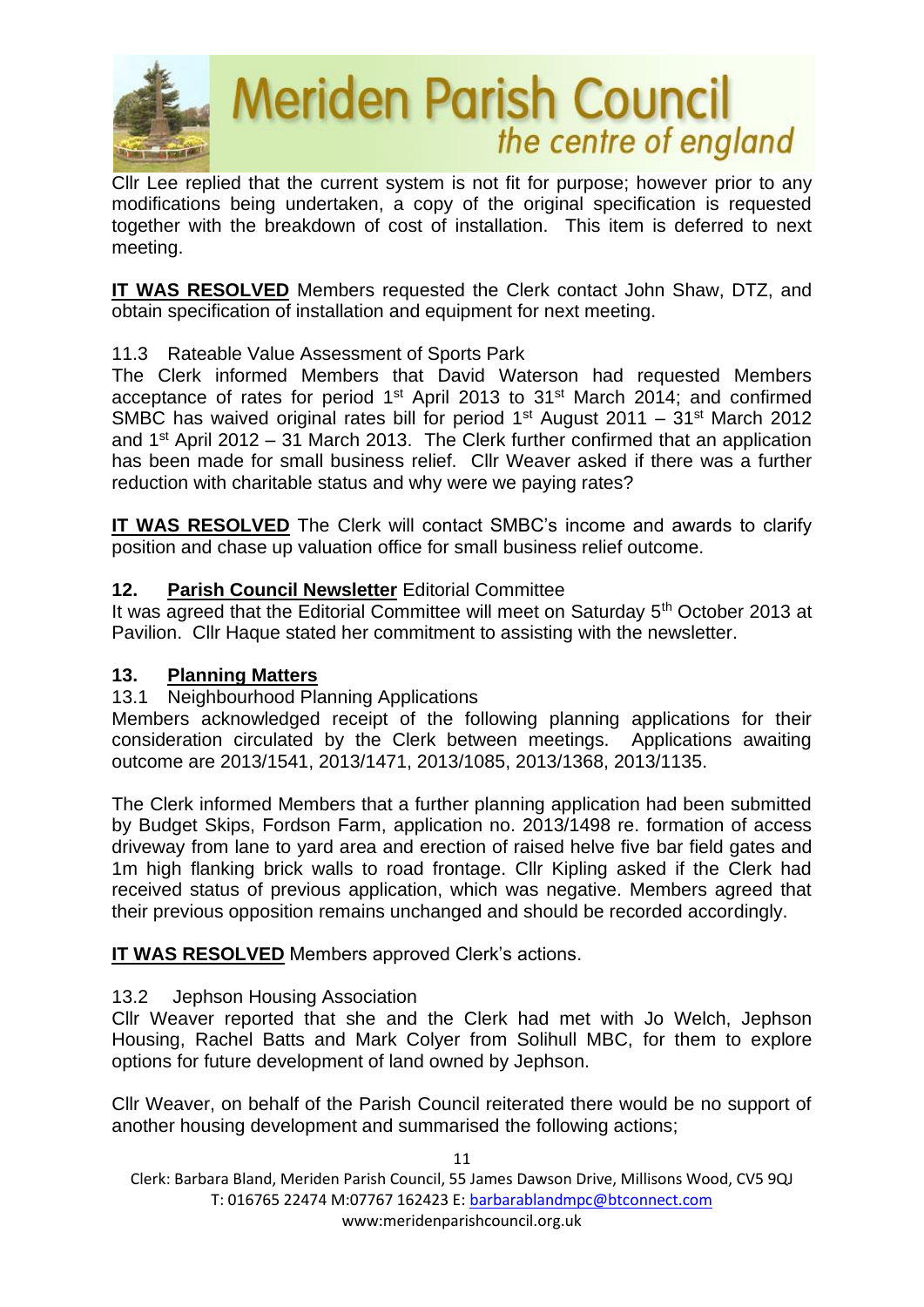

Cllr Lee replied that the current system is not fit for purpose; however prior to any modifications being undertaken, a copy of the original specification is requested together with the breakdown of cost of installation. This item is deferred to next meeting.

**IT WAS RESOLVED** Members requested the Clerk contact John Shaw, DTZ, and obtain specification of installation and equipment for next meeting.

# 11.3 Rateable Value Assessment of Sports Park

The Clerk informed Members that David Waterson had requested Members acceptance of rates for period 1<sup>st</sup> April 2013 to 31<sup>st</sup> March 2014; and confirmed SMBC has waived original rates bill for period  $1<sup>st</sup>$  August 2011 – 31<sup>st</sup> March 2012 and 1<sup>st</sup> April 2012 – 31 March 2013. The Clerk further confirmed that an application has been made for small business relief. Cllr Weaver asked if there was a further reduction with charitable status and why were we paying rates?

**IT WAS RESOLVED** The Clerk will contact SMBC's income and awards to clarify position and chase up valuation office for small business relief outcome.

## **12. Parish Council Newsletter** Editorial Committee

It was agreed that the Editorial Committee will meet on Saturday 5<sup>th</sup> October 2013 at Pavilion. Cllr Haque stated her commitment to assisting with the newsletter.

#### **13. Planning Matters**

#### 13.1 Neighbourhood Planning Applications

Members acknowledged receipt of the following planning applications for their consideration circulated by the Clerk between meetings. Applications awaiting outcome are 2013/1541, 2013/1471, 2013/1085, 2013/1368, 2013/1135.

The Clerk informed Members that a further planning application had been submitted by Budget Skips, Fordson Farm, application no. 2013/1498 re. formation of access driveway from lane to yard area and erection of raised helve five bar field gates and 1m high flanking brick walls to road frontage. Cllr Kipling asked if the Clerk had received status of previous application, which was negative. Members agreed that their previous opposition remains unchanged and should be recorded accordingly.

**IT WAS RESOLVED** Members approved Clerk's actions.

#### 13.2 Jephson Housing Association

Cllr Weaver reported that she and the Clerk had met with Jo Welch, Jephson Housing, Rachel Batts and Mark Colyer from Solihull MBC, for them to explore options for future development of land owned by Jephson.

Cllr Weaver, on behalf of the Parish Council reiterated there would be no support of another housing development and summarised the following actions;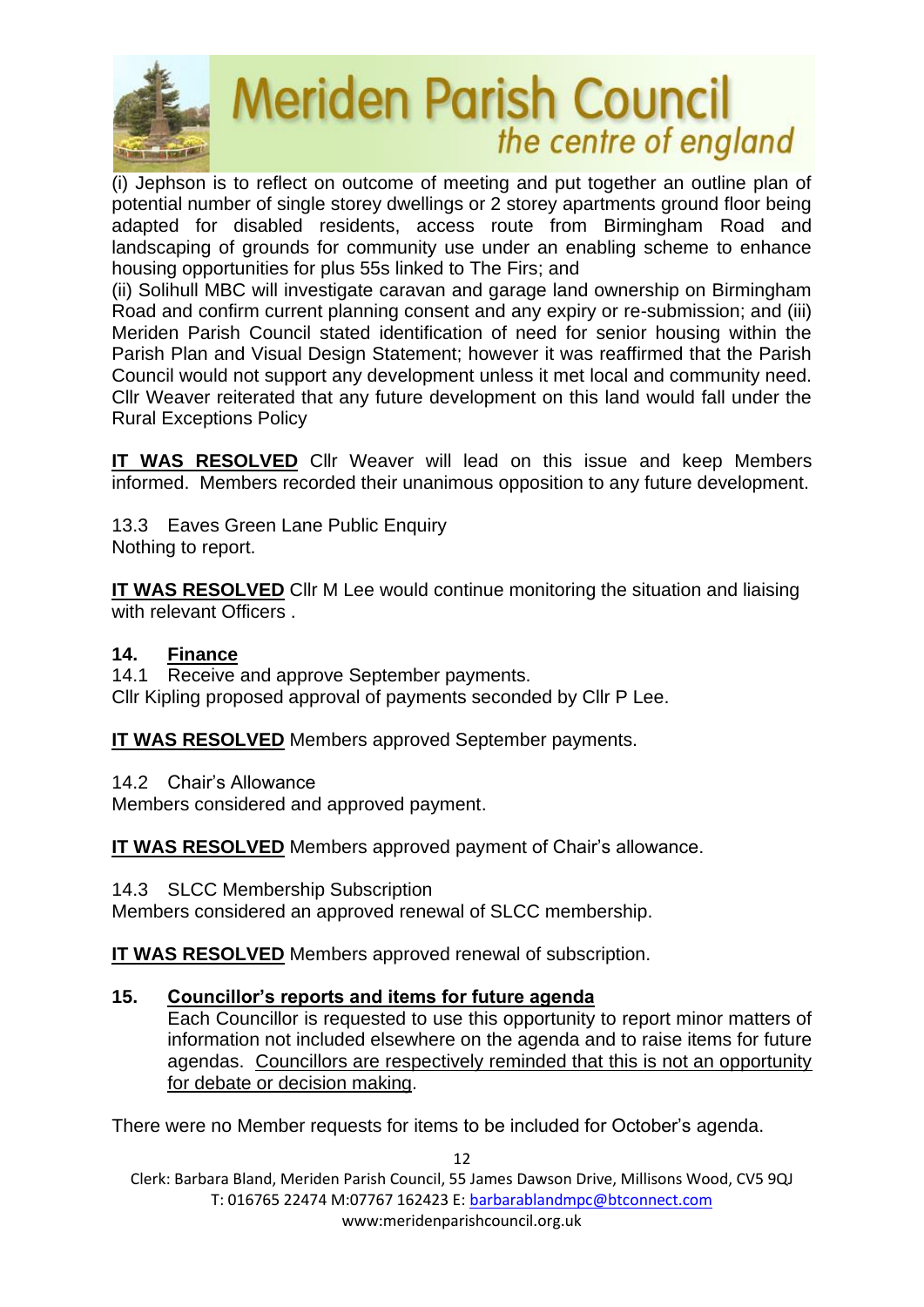

(i) Jephson is to reflect on outcome of meeting and put together an outline plan of potential number of single storey dwellings or 2 storey apartments ground floor being adapted for disabled residents, access route from Birmingham Road and landscaping of grounds for community use under an enabling scheme to enhance housing opportunities for plus 55s linked to The Firs; and

(ii) Solihull MBC will investigate caravan and garage land ownership on Birmingham Road and confirm current planning consent and any expiry or re-submission; and (iii) Meriden Parish Council stated identification of need for senior housing within the Parish Plan and Visual Design Statement; however it was reaffirmed that the Parish Council would not support any development unless it met local and community need. Cllr Weaver reiterated that any future development on this land would fall under the Rural Exceptions Policy

**IT WAS RESOLVED** Cllr Weaver will lead on this issue and keep Members informed. Members recorded their unanimous opposition to any future development.

13.3 Eaves Green Lane Public Enquiry Nothing to report.

**IT WAS RESOLVED** Cllr M Lee would continue monitoring the situation and liaising with relevant Officers.

# **14. Finance**

14.1 Receive and approve September payments. Cllr Kipling proposed approval of payments seconded by Cllr P Lee.

**IT WAS RESOLVED** Members approved September payments.

14.2 Chair's Allowance

Members considered and approved payment.

**IT WAS RESOLVED** Members approved payment of Chair's allowance.

14.3 SLCC Membership Subscription

Members considered an approved renewal of SLCC membership.

**IT WAS RESOLVED** Members approved renewal of subscription.

#### **15. Councillor's reports and items for future agenda**

Each Councillor is requested to use this opportunity to report minor matters of information not included elsewhere on the agenda and to raise items for future agendas. Councillors are respectively reminded that this is not an opportunity for debate or decision making.

There were no Member requests for items to be included for October's agenda.

Clerk: Barbara Bland, Meriden Parish Council, 55 James Dawson Drive, Millisons Wood, CV5 9QJ T: 016765 22474 M:07767 162423 E[: barbarablandmpc@btconnect.com](mailto:barbarablandmpc@btconnect.com) www:meridenparishcouncil.org.uk

12